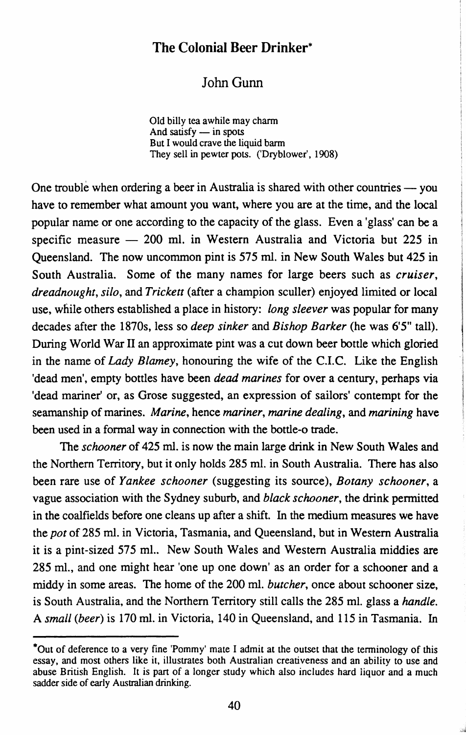## **The Colonial Beer Drinker•**

## JohnGunn

Old billy tea awhile may charm And satisfy  $-$  in spots But I would crave the liquid barm They sell in pewter pots. ('Dryblower', 1908)

One trouble when ordering a beer in Australia is shared with other countries — you have to remember what amount you want, where you are at the time, and the local popular name or one according to the capacity of the glass. Even a 'glass' can be a specific measure  $-$  200 ml. in Western Australia and Victoria but 225 in Queensland. The now uncommon pint is 575 ml. in New South Wales but 425 in South Australia. Some of the many names for large beers such as *cruiser, dreadnought, silo,* and *Trickett* (after a champion sculler) enjoyed limited or local use, while others established a place in history: *long sleever* was popular for many decades after the 1870s, less so *deep sinker* and *Bishop Barker* (he was 6'5" tall). During World War II an approximate pint was a cut down beer bottle which gloried in the name of *Lady Blarney,* honouring the wife of the C.I.C. Like the English 'dead men', empty bottles have been *dead marines* for over a century, perhaps via 'dead mariner' or, as Grose suggested, an expression of sailors' contempt for the seamanship of marines. *Marine,* hence *mariner, marine dealing,* and *marining* have been used in a formal way in connection with the bottle-o trade.

The *schooner* of 425 ml. is now the main large drink in New South Wales and the Northern Territory, but it only holds 285 ml. in South Australia. There has also been rare use of *Yankee schooner* (suggesting its source), *Botany schooner,* a vague association with the Sydney suburb, and *black schooner,* the drink permitted in the coalfields before one cleans up after a shift. In the medium measures we have the *pot* of 285 ml. in Victoria, Tasmania, and Queensland, but in Western Australia it is a pint-sized 575 ml.. New South Wales and Western Australia middies are 285 ml., and one might hear 'one up one down' as an order for a schooner and a middy in some areas. The home of the 200 ml. *butcher,* once about schooner size, is South Australia, and the Northern Territory still calls the 285 mi. glass a *handle.*  A *small (beer)* is 170 ml. in Victoria, 140 in Queensland, and 115 in Tasmania. In

<sup>\*</sup>out of deference to a very fine 'Pommy' mate I admit at the outset that the terminology of this essay, and most others like it, illustrates both Australian creativeness and an ability to use and abuse British English. It is part of a longer study which also includes hard liquor and a much sadder side of early Australian drinking.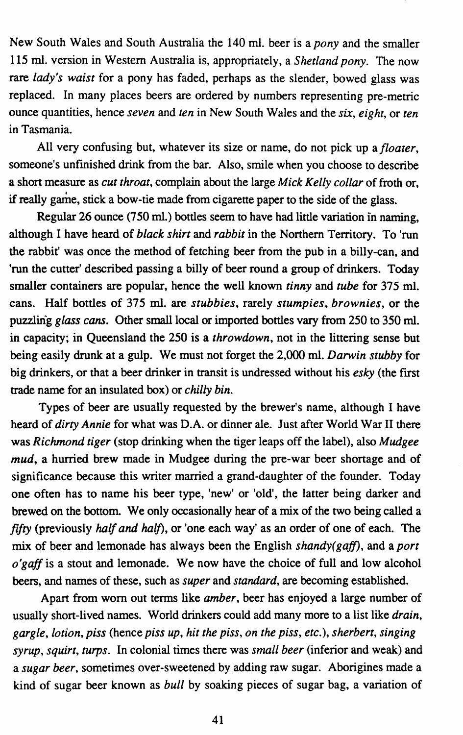New South Wales and South Australia the 140 ml. beer is a *pony* and the smaller 115 ml. version in Western Australia is, appropriately, a *Shetland pony.* The now rare *lady's waist* for a pony has faded, perhaps as the slender, bowed glass was replaced. In many places beers are ordered by numbers representing pre-metric ounce quantities, hence *seven* and *ten* in New South Wales and the *six, eight,* or *ten*  in Tasmania.

All very confusing but, whatever its size or name, do not pick up a *floater,*  someone's unfinished drink from the bar. Also, smile when you choose to describe a short measure as *cut throat,* complain about the large *Mick Kelly collar* of froth or, if really game, stick a bow-tie made from cigarette paper to the side of the glass.

Regular 26 ounce (750 ml.) bottles seem to have had little variation in naming, although I have heard of *black shirt* and *rabbit* in the Northern Territory. To 'run the rabbit' was once the method of fetching beer from the pub in a billy-can, and 'run the cutter' described passing a billy of beer round a group of drinkers. Today smaller containers are popular, hence the well known *tinny* and *tube* for 375 ml. cans. Half bottles of 375 ml. are *stubbies,* rarely *stumpies, brownies,* or the puzzling *glass cans.* Other small local or imported bottles vary from 250 to 350 ml. in capacity; in Queensland the 250 is a *throwdown,* not in the littering sense but being easily drunk at a gulp. We must not forget the 2,000 ml. *Darwin stubby* for big drinkers, or that a beer drinker in transit is undressed without his *esky* (the first trade name for an insulated box) or *chilly bin.* 

Types of beer are usually requested by the brewer's name, although I have heard of *dirty Annie* for what was D.A. or dinner ale. Just after World War II there was *Richmond tiger* (stop drinking when the tiger leaps off the label), also *Mudgee mud,* a hurried brew made in Mudgee during the pre-war beer shortage and of significance because this writer married a grand-daughter of the founder. Today one often has to name his beer type, 'new' or 'old', the latter being darker and brewed on the bottom. We only occasionally hear of a mix of the two being called a *fifty* (previously *half and half),* or 'one each way' as an order of one of each. The mix of beer and lemonade has always been the English *shandy( gaff),* and a *port o'gaffis* a stout and lemonade. We now have the choice of full and low alcohol beers, and names of these, such as *super* and *standard,* are becoming established.

Apart from worn out terms like *amber,* beer has enjoyed a large number of usually short-lived names. World drinkers could add many more to a list like *drain, gargle, lotion, piss* (hence *piss up, hit the piss, on the piss, etc.), sherbert, singing syrup, squirt, turps.* In colonial times there was *small beer* (inferior and weak) and a *sugar beer,* sometimes over-sweetened by adding raw sugar. Aborigines made a kind of sugar beer known as *bull* by soaking pieces of sugar bag, a variation of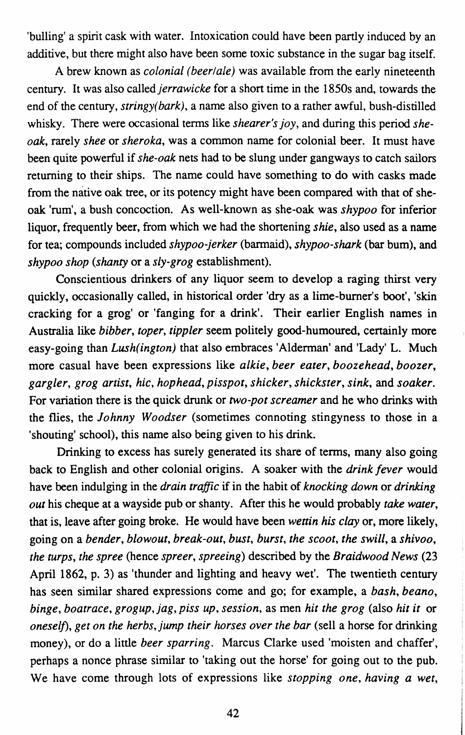'hulling' a spirit cask with water. Intoxication could have been partly induced by an additive, but there might also have been some toxic substance in the sugar bag itself.

A brew known as *colonial (beer/ale)* was available from the early nineteenth century. It was also *calledjerrawicke* for a short time in the 1850s and, towards the end of the century, *stringy( bark),* a name also given to a rather awful, bush-distilled whisky. There were occasional terms like *shearer's joy,* and during this period *sheoak,* rarely *shee* or *sheroka,* was a common name for colonial beer. It must have been quite powerful if *she-oak* nets had to be slung under gangways to catch sailors returning to their ships. The name could have something to do with casks made from the native oak tree, or its potency might have been compared with that of sheoak 'rum', a bush concoction. As well-known as she-oak was *shypoo* for inferior liquor, frequently beer, from which we had the shortening *shie,* also used as a name for tea; compounds included *shypoo-jerker* (barmaid), *shypoo-shark* (bar bum), and *shypoo shop (shanty* or a *sly-grog* establishment).

Conscientious drinkers of any liquor seem to develop a raging thirst very quickly, occasionally called, in historical order 'dry as a lime-burner's boot', 'skin cracking for a grog' or 'fanging for a drink'. Their earlier English names in Australia like *bibber, toper, tippler* seem politely good-humoured, certainly more easy-going than *Lush(ington)* that also embraces 'Alderman' and 'Lady' L. Much more casual have been expressions like *alkie, beer eater, boozehead, boozer, gargler, grog artist, hie, hop head, pisspot, shicker, shickster, sink,* and *soaker.*  For variation there is the quick drunk or *two-pot screamer* and he who drinks with the flies, the *Johnny Woodser* (sometimes connoting stingyness to those in a 'shouting' school), this name also being given to his drink.

Drinking to excess has surely generated its share of terms, many also going back to English and other colonial origins. A soaker with the *drink fever* would have been indulging in the *drain traffic* if in the habit of *knocking down* or *drinking out* his cheque at a wayside pub or shanty. After this he would probably *take water,*  that is, leave after going broke. He would have been *wettin his clay* or, more likely, going on a *bender, blowout, break-out, bust, burst, the scoot, the swill,* a *shivoo, the turps, the spree* (hence *spreer, spreeing)* described by the *Braidwood News* (23 April 1862, p. 3) as 'thunder and lighting and heavy wet'. The twentieth century has seen similar shared expressions come and go; for example, a *bash, beano, binge, boatrace, grogup,jag, piss up, session,* as men *hit the grog* (also *hit it* or *oneself), get on the herbs, jump their horses over the bar (sell a horse for drinking* money), or do a little *beer sparring.* Marcus Clarke used 'moisten and chaffer', perhaps a nonce phrase similar to 'taking out the horse' for going out to the pub. We have come through lots of expressions like *stopping one, having a wet,*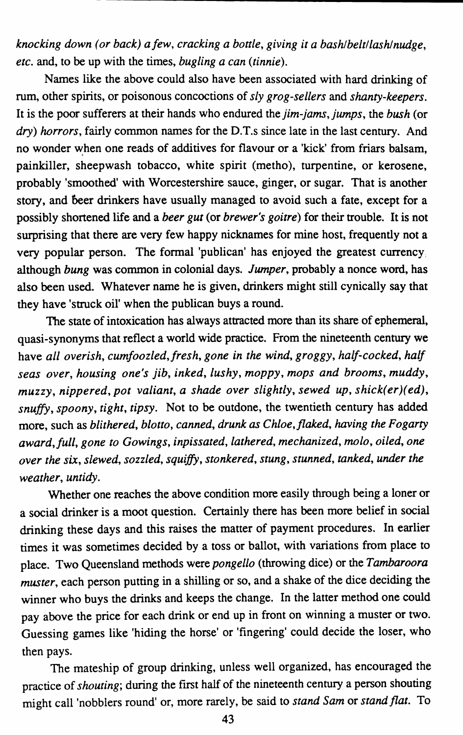*knocking down (or back) a few, cracking a bottle, giving it a bash/belt! lash/nudge, etc.* and, to be up with the times, *bugling a can (tinnie).* 

Names like the above could also have been associated with hard drinking of rum, other spirits, or poisonous concoctions of *sly grog-sellers* and *shanty-keepers.*  It is the poor sufferers at their hands who endured the *jim-jams, jumps, the bush (or dry) horrors,* fairly common names for the D.T.s since late in the last century. And no wonder when one reads of additives for flavour or a 'kick' from friars balsam, painkiller, sheepwash tobacco, white spirit (metho), turpentine, or kerosene, probably 'smoothed' with Worcestershire sauce, ginger, or sugar. That is another story, and beer drinkers have usually managed to avoid such a fate, except for a possibly shortened life and a *beer gut* (or *brewer's goitre)* for their trouble. It is not surprising that there are very few happy nicknames for mine host, frequently not a very popular person. The formal 'publican' has enjoyed the greatest currency although *bung* was common in colonial days. *Jumper,* probably a nonce word, has also been used. Whatever name he is given, drinkers might still cynically say that they have 'struck oil' when the publican buys a round.

The state of intoxication has always attracted more than its share of ephemeral, quasi-synonyms that reflect a world wide practice. From the nineteenth century we have *all overish, cumfoozled,fresh, gone in the wind, groggy, half-cocked, half seas over, housing one's jib, inked, lushy, moppy, mops and brooms, muddy, muzzy, nippered, pot valiant, a shade over slightly, sewed up, shick(er)(ed), snuffy, spoony, tight, tipsy.* Not to be outdone, the twentieth century has added more, such as *blithered, blotto, canned, drunk as Chloe,flaked, having the Fogarty award,full, gone to Gowings, inpissated, lathered, mechanized, molo, oiled, one over the six, slewed, sozzled, squiffy, stonkered, stung, stunned, tanked, under the weather, untidy.* 

Whether one reaches the above condition more easily through being a loner or a social drinker is a moot question. Certainly there has been more belief in social drinking these days and this raises the matter of payment procedures. In earlier times it was sometimes decided by a toss or ballot, with variations from place to place. Two Queensland methods were *pongello* (throwing dice) or the *Tambaroora muster,* each person putting in a shilling or so, and a shake of the dice deciding the winner who buys the drinks and keeps the change. In the latter method one could pay above the price for each drink or end up in front on winning a muster or two. Guessing games like 'hiding the horse' or 'fingering' could decide the loser, who then pays.

The mateship of group drinking, unless well organized, has encouraged the practice of *shouting;* during the first half of the nineteenth century a person shouting might call 'nobblers round' or, more rarely, be said to *stand Sam* or *stand flat.* To